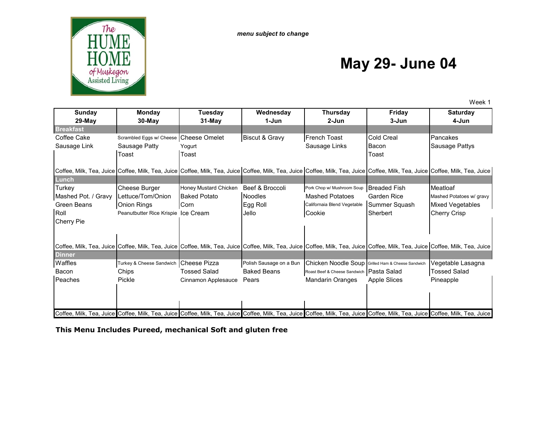

# **May 29- June 04**

Week 1

| <b>Sunday</b>       | <b>Monday</b>                          | <b>Tuesday</b>        | Wednesday                 | <b>Thursday</b>                                   | <b>Friday</b>                                                                                                                                                                                                                  | <b>Saturday</b>          |
|---------------------|----------------------------------------|-----------------------|---------------------------|---------------------------------------------------|--------------------------------------------------------------------------------------------------------------------------------------------------------------------------------------------------------------------------------|--------------------------|
| $29-May$            | $30$ -May                              | 31-May                | 1-Jun                     | 2-Jun                                             | 3-Jun                                                                                                                                                                                                                          | 4-Jun                    |
| <b>Breakfast</b>    |                                        |                       |                           |                                                   |                                                                                                                                                                                                                                |                          |
| Coffee Cake         | Scrambled Eggs w/ Cheese Cheese Omelet |                       | <b>Biscut &amp; Gravy</b> | <b>French Toast</b>                               | Cold Creal                                                                                                                                                                                                                     | Pancakes                 |
| Sausage Link        | Sausage Patty                          | Yogurt                |                           | Sausage Links                                     | Bacon                                                                                                                                                                                                                          | Sausage Pattys           |
|                     | Toast                                  | Toast                 |                           |                                                   | Toast                                                                                                                                                                                                                          |                          |
|                     |                                        |                       |                           |                                                   |                                                                                                                                                                                                                                |                          |
|                     |                                        |                       |                           |                                                   | Coffee, Milk, Tea, Juice Coffee, Milk, Tea, Juice Coffee, Milk, Tea, Juice Coffee, Milk, Tea, Juice Coffee, Milk, Tea, Juice Coffee, Milk, Tea, Juice Coffee, Milk, Tea, Juice Coffee, Milk, Tea, Juice Coffee, Milk, Tea, Jui |                          |
| Lunch               |                                        |                       |                           |                                                   |                                                                                                                                                                                                                                |                          |
| Turkey              | Cheese Burger                          | Honey Mustard Chicken | Beef & Broccoli           | Pork Chop w/ Mushroom Soup                        | <b>Breaded Fish</b>                                                                                                                                                                                                            | Meatloaf                 |
| Mashed Pot. / Gravy | Lettuce/Tom/Onion                      | <b>Baked Potato</b>   | <b>Noodles</b>            | <b>Mashed Potatoes</b>                            | <b>Garden Rice</b>                                                                                                                                                                                                             | Mashed Potatoes w/ gravy |
| Green Beans         | <b>Onion Rings</b>                     | Corn                  | Egg Roll                  | Californaia Blend Vegetable                       | Summer Squash                                                                                                                                                                                                                  | Mixed Vegetables         |
| Roll                | Peanutbutter Rice Krispie Ice Cream    |                       | Jello                     | Cookie                                            | Sherbert                                                                                                                                                                                                                       | Cherry Crisp             |
| <b>Cherry Pie</b>   |                                        |                       |                           |                                                   |                                                                                                                                                                                                                                |                          |
|                     |                                        |                       |                           |                                                   |                                                                                                                                                                                                                                |                          |
|                     |                                        |                       |                           |                                                   |                                                                                                                                                                                                                                |                          |
|                     |                                        |                       |                           |                                                   | Coffee, Milk, Tea, Juice Coffee, Milk, Tea, Juice Coffee, Milk, Tea, Juice Coffee, Milk, Tea, Juice Coffee, Milk, Tea, Juice Coffee, Milk, Tea, Juice Coffee, Milk, Tea, Juice Coffee, Milk, Tea, Juice Coffee, Milk, Tea, Jui |                          |
| <b>Dinner</b>       |                                        |                       |                           |                                                   |                                                                                                                                                                                                                                |                          |
| Waffles             | Turkey & Cheese Sandwich               | Cheese Pizza          | Polish Sausage on a Bun   | Chicken Noodle Soup Grilled Ham & Cheese Sandwich |                                                                                                                                                                                                                                | Vegetable Lasagna        |
| Bacon               | Chips                                  | <b>Tossed Salad</b>   | <b>Baked Beans</b>        | Roast Beef & Cheese Sandwich Pasta Salad          |                                                                                                                                                                                                                                | Tossed Salad             |
| Peaches             | Pickle                                 | Cinnamon Applesauce   | Pears                     | <b>Mandarin Oranges</b>                           | <b>Apple Slices</b>                                                                                                                                                                                                            | Pineapple                |
|                     |                                        |                       |                           |                                                   |                                                                                                                                                                                                                                |                          |
|                     |                                        |                       |                           |                                                   |                                                                                                                                                                                                                                |                          |
|                     |                                        |                       |                           |                                                   |                                                                                                                                                                                                                                |                          |
|                     |                                        |                       |                           |                                                   | Coffee, Milk, Tea, Juice Coffee, Milk, Tea, Juice Coffee, Milk, Tea, Juice Coffee, Milk, Tea, Juice Coffee, Milk, Tea, Juice Coffee, Milk, Tea, Juice Coffee, Milk, Tea, Juice Coffee, Milk, Tea, Juice Coffee, Milk, Tea, Jui |                          |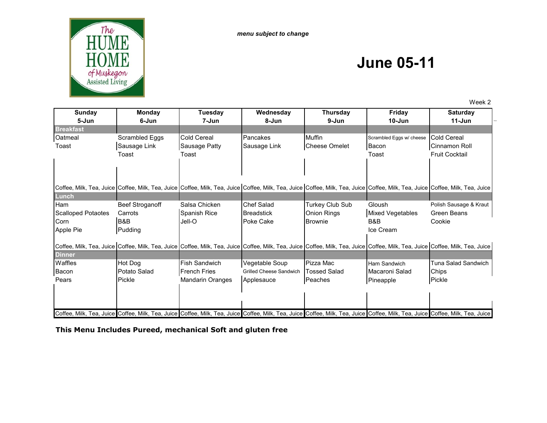*menu subject to change*



# **June 05-11**

Week 2

| Sunday                    | Monday          | <b>Tuesday</b>          | Wednesday               | <b>Thursday</b>                                                                                                                                                                                                                | Friday                   | <b>Saturday</b>                                                                                                                                                                                                                |
|---------------------------|-----------------|-------------------------|-------------------------|--------------------------------------------------------------------------------------------------------------------------------------------------------------------------------------------------------------------------------|--------------------------|--------------------------------------------------------------------------------------------------------------------------------------------------------------------------------------------------------------------------------|
| 5-Jun                     | 6-Jun           | 7-Jun                   | 8-Jun                   | 9-Jun                                                                                                                                                                                                                          | $10 - Jun$               | $11 - Jun$                                                                                                                                                                                                                     |
| <b>Breakfast</b>          |                 |                         |                         |                                                                                                                                                                                                                                |                          |                                                                                                                                                                                                                                |
| Oatmeal                   | Scrambled Eggs  | <b>Cold Cereal</b>      | Pancakes                | <b>Muffin</b>                                                                                                                                                                                                                  | Scrambled Eggs w/ cheese | <b>Cold Cereal</b>                                                                                                                                                                                                             |
| Toast                     | Sausage Link    | Sausage Patty           | Sausage Link            | <b>Cheese Omelet</b>                                                                                                                                                                                                           | Bacon                    | Cinnamon Roll                                                                                                                                                                                                                  |
|                           | Toast           | Toast                   |                         |                                                                                                                                                                                                                                | Toast                    | <b>Fruit Cocktail</b>                                                                                                                                                                                                          |
|                           |                 |                         |                         |                                                                                                                                                                                                                                |                          |                                                                                                                                                                                                                                |
|                           |                 |                         |                         | Coffee, Milk, Tea, Juice Coffee, Milk, Tea, Juice Coffee, Milk, Tea, Juice Coffee, Milk, Tea, Juice Coffee, Milk, Tea, Juice Coffee, Milk, Tea, Juice Coffee, Milk, Tea, Juice Coffee, Milk, Tea, Juice Coffee, Milk, Tea, Jui |                          |                                                                                                                                                                                                                                |
| Lunch                     |                 |                         |                         |                                                                                                                                                                                                                                |                          |                                                                                                                                                                                                                                |
| Ham                       | Beef Stroganoff | Salsa Chicken           | <b>Chef Salad</b>       | Turkey Club Sub                                                                                                                                                                                                                | Gloush                   | Polish Sausage & Kraut                                                                                                                                                                                                         |
| <b>Scalloped Potaotes</b> | Carrots         | Spanish Rice            | <b>Breadstick</b>       | Onion Rings                                                                                                                                                                                                                    | <b>Mixed Vegetables</b>  | Green Beans                                                                                                                                                                                                                    |
| Corn                      | B&B             | Jell-O                  | Poke Cake               | <b>Brownie</b>                                                                                                                                                                                                                 | B&B                      | Cookie                                                                                                                                                                                                                         |
| Apple Pie                 | Pudding         |                         |                         |                                                                                                                                                                                                                                | Ice Cream                |                                                                                                                                                                                                                                |
|                           |                 |                         |                         |                                                                                                                                                                                                                                |                          | Coffee, Milk, Tea, Juice Coffee, Milk, Tea, Juice Coffee, Milk, Tea, Juice Coffee, Milk, Tea, Juice Coffee, Milk, Tea, Juice Coffee, Milk, Tea, Juice Coffee, Milk, Tea, Juice Coffee, Milk, Tea, Juice Coffee, Milk, Tea, Jui |
| <b>Dinner</b>             |                 |                         |                         |                                                                                                                                                                                                                                |                          |                                                                                                                                                                                                                                |
| Waffles                   | Hot Dog         | <b>Fish Sandwich</b>    | Vegetable Soup          | Pizza Mac                                                                                                                                                                                                                      | Ham Sandwich             | Tuna Salad Sandwich                                                                                                                                                                                                            |
| Bacon                     | Potato Salad    | <b>French Fries</b>     | Grilled Cheese Sandwich | <b>Tossed Salad</b>                                                                                                                                                                                                            | Macaroni Salad           | Chips                                                                                                                                                                                                                          |
| Pears                     | Pickle          | <b>Mandarin Oranges</b> | Applesauce              | Peaches                                                                                                                                                                                                                        | Pineapple                | Pickle                                                                                                                                                                                                                         |
|                           |                 |                         |                         |                                                                                                                                                                                                                                |                          |                                                                                                                                                                                                                                |
|                           |                 |                         |                         |                                                                                                                                                                                                                                |                          |                                                                                                                                                                                                                                |
|                           |                 |                         |                         |                                                                                                                                                                                                                                |                          |                                                                                                                                                                                                                                |
|                           |                 |                         |                         |                                                                                                                                                                                                                                |                          | Coffee, Milk, Tea, Juice Coffee, Milk, Tea, Juice Coffee, Milk, Tea, Juice Coffee, Milk, Tea, Juice Coffee, Milk, Tea, Juice Coffee, Milk, Tea, Juice Coffee, Milk, Tea, Juice Coffee, Milk, Tea, Juice Coffee, Milk, Tea, Jui |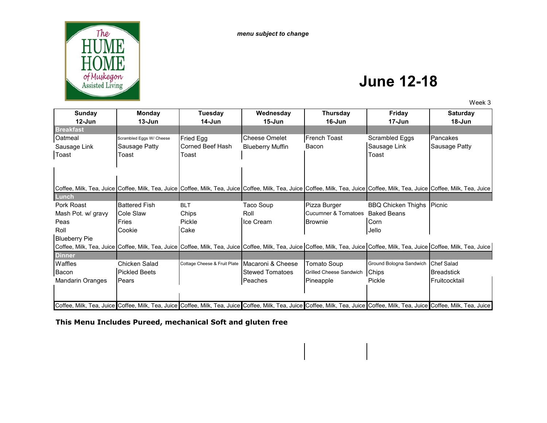

#### **June 12-18**

Week 3

| Sunday               | <b>Monday</b>            | Tuesday                      | Wednesday               | <b>Thursday</b>                | Friday                                                                                                                                                                                                                         | <b>Saturday</b>   |
|----------------------|--------------------------|------------------------------|-------------------------|--------------------------------|--------------------------------------------------------------------------------------------------------------------------------------------------------------------------------------------------------------------------------|-------------------|
| $12$ -Jun            | $13 - Jun$               | 14-Jun                       | $15 - Jun$              | 16-Jun                         | 17-Jun                                                                                                                                                                                                                         | 18-Jun            |
| <b>Breakfast</b>     |                          |                              |                         |                                |                                                                                                                                                                                                                                |                   |
| Oatmeal              | Scrambled Eggs W/ Cheese | <b>Fried Egg</b>             | <b>Cheese Omelet</b>    | <b>French Toast</b>            | Scrambled Eggs                                                                                                                                                                                                                 | Pancakes          |
| Sausage Link         | Sausage Patty            | Corned Beef Hash             | <b>Blueberry Muffin</b> | Bacon                          | Sausage Link                                                                                                                                                                                                                   | Sausage Patty     |
| Toast                | Toast                    | Toast                        |                         |                                | Toast                                                                                                                                                                                                                          |                   |
|                      |                          |                              |                         |                                |                                                                                                                                                                                                                                |                   |
|                      |                          |                              |                         |                                |                                                                                                                                                                                                                                |                   |
|                      |                          |                              |                         |                                |                                                                                                                                                                                                                                |                   |
|                      |                          |                              |                         |                                | Coffee, Milk, Tea, Juice Coffee, Milk, Tea, Juice Coffee, Milk, Tea, Juice Coffee, Milk, Tea, Juice Coffee, Milk, Tea, Juice Coffee, Milk, Tea, Juice Coffee, Milk, Tea, Juice Coffee, Milk, Tea, Juice Coffee, Milk, Tea, Jui |                   |
| Lunch                |                          |                              |                         |                                |                                                                                                                                                                                                                                |                   |
| Pork Roast           | <b>Battered Fish</b>     | <b>BLT</b>                   | Taco Soup               | Pizza Burger                   | <b>BBQ Chicken Thighs</b>                                                                                                                                                                                                      | <b>Picnic</b>     |
| Mash Pot. w/ gravy   | Cole Slaw                | Chips                        | Roll                    | <b>Cucumner &amp; Tomatoes</b> | <b>Baked Beans</b>                                                                                                                                                                                                             |                   |
| Peas                 | Fries                    | Pickle                       | Ice Cream               | Brownie                        | Corn                                                                                                                                                                                                                           |                   |
| Roll                 | Cookie                   | Cake                         |                         |                                | Jello                                                                                                                                                                                                                          |                   |
| <b>Blueberry Pie</b> |                          |                              |                         |                                |                                                                                                                                                                                                                                |                   |
|                      |                          |                              |                         |                                | Coffee, Milk, Tea, Juice Coffee, Milk, Tea, Juice Coffee, Milk, Tea, Juice Coffee, Milk, Tea, Juice Coffee, Milk, Tea, Juice Coffee, Milk, Tea, Juice Coffee, Milk, Tea, Juice Coffee, Milk, Tea, Juice Coffee, Milk, Tea, Jui |                   |
| <b>Dinner</b>        |                          |                              |                         |                                |                                                                                                                                                                                                                                |                   |
| Waffles              | Chicken Salad            | Cottage Cheese & Fruit Plate | Macaroni & Cheese       | Tomato Soup                    | Ground Bologna Sandwich                                                                                                                                                                                                        | <b>Chef Salad</b> |
| Bacon                | <b>Pickled Beets</b>     |                              | <b>Stewed Tomatoes</b>  | Grilled Cheese Sandwich        | Chips                                                                                                                                                                                                                          | <b>Breadstick</b> |
| Mandarin Oranges     | Pears                    |                              | Peaches                 | Pineapple                      | Pickle                                                                                                                                                                                                                         | Fruitcocktail     |
|                      |                          |                              |                         |                                |                                                                                                                                                                                                                                |                   |
|                      |                          |                              |                         |                                |                                                                                                                                                                                                                                |                   |
|                      |                          |                              |                         |                                | Coffee, Milk, Tea, Juice Coffee, Milk, Tea, Juice Coffee, Milk, Tea, Juice Coffee, Milk, Tea, Juice Coffee, Milk, Tea, Juice Coffee, Milk, Tea, Juice Coffee, Milk, Tea, Juice Coffee, Milk, Tea, Juice Coffee, Milk, Tea, Jui |                   |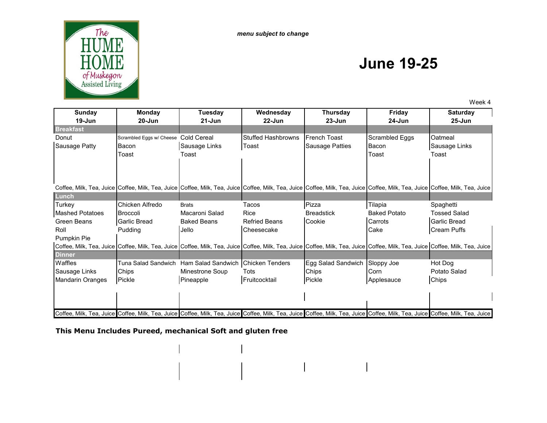*menu subject to change*



# **June 19-25**

Week 4

| <b>Sunday</b>           | Monday                                                                                                                                                                                                                         | <b>Tuesday</b>     | Wednesday                 | <b>Thursday</b>    | Friday              | <b>Saturday</b>     |
|-------------------------|--------------------------------------------------------------------------------------------------------------------------------------------------------------------------------------------------------------------------------|--------------------|---------------------------|--------------------|---------------------|---------------------|
| $19 - Jun$              | $20 - Jun$                                                                                                                                                                                                                     | $21 - Jun$         | $22 - Jun$                | $23 - Jun$         | $24 - Jun$          | $25 - Jun$          |
| <b>Breakfast</b>        |                                                                                                                                                                                                                                |                    |                           |                    |                     |                     |
| Donut                   | Scrambled Eggs w/ Cheese Cold Cereal                                                                                                                                                                                           |                    | <b>Stuffed Hashbrowns</b> | French Toast       | Scrambled Eggs      | Oatmeal             |
| <b>Sausage Patty</b>    | Bacon                                                                                                                                                                                                                          | Sausage Links      | Toast                     | Sausage Patties    | Bacon               | Sausage Links       |
|                         | Toast                                                                                                                                                                                                                          | Toast              |                           |                    | Toast               | Toast               |
|                         |                                                                                                                                                                                                                                |                    |                           |                    |                     |                     |
|                         |                                                                                                                                                                                                                                |                    |                           |                    |                     |                     |
|                         |                                                                                                                                                                                                                                |                    |                           |                    |                     |                     |
|                         | Coffee, Milk, Tea, Juice Coffee, Milk, Tea, Juice Coffee, Milk, Tea, Juice Coffee, Milk, Tea, Juice Coffee, Milk, Tea, Juice ICoffee, Milk, Tea, Juice Coffee, Milk, Tea, Juice Coffee, Milk, Tea, Juice Coffee, Milk, Tea, Ju |                    |                           |                    |                     |                     |
| Lunch                   |                                                                                                                                                                                                                                |                    |                           |                    |                     |                     |
| Turkey                  | Chicken Alfredo                                                                                                                                                                                                                | <b>Brats</b>       | Tacos                     | Pizza              | Tilapia             | Spaghetti           |
| <b>Mashed Potatoes</b>  | Broccoli                                                                                                                                                                                                                       | Macaroni Salad     | <b>Rice</b>               | <b>Breadstick</b>  | <b>Baked Potato</b> | <b>Tossed Salad</b> |
| Green Beans             | Garlic Bread                                                                                                                                                                                                                   | <b>Baked Beans</b> | <b>Refried Beans</b>      | Cookie             | Carrots             | <b>Garlic Bread</b> |
| Roll                    | Pudding                                                                                                                                                                                                                        | Jello              | Cheesecake                |                    | Cake                | <b>Cream Puffs</b>  |
| Pumpkin Pie             |                                                                                                                                                                                                                                |                    |                           |                    |                     |                     |
|                         | Coffee, Milk, Tea, Juice Coffee, Milk, Tea, Juice Coffee, Milk, Tea, Juice Coffee, Milk, Tea, Juice Coffee, Milk, Tea, Juice Coffee, Milk, Tea, Juice Coffee, Milk, Tea, Juice Coffee, Milk, Tea, Juice Coffee, Milk, Tea, Jui |                    |                           |                    |                     |                     |
| <b>Dinner</b>           |                                                                                                                                                                                                                                |                    |                           |                    |                     |                     |
| Waffles                 | Tuna Salad Sandwich Ham Salad Sandwich                                                                                                                                                                                         |                    | <b>Chicken Tenders</b>    | Egg Salad Sandwich | Sloppy Joe          | Hot Dog             |
| Sausage Links           | Chips                                                                                                                                                                                                                          | Minestrone Soup    | Tots                      | Chips              | Corn                | Potato Salad        |
| <b>Mandarin Oranges</b> | Pickle                                                                                                                                                                                                                         | Pineapple          | Fruitcocktail             | Pickle             | Applesauce          | Chips               |
|                         |                                                                                                                                                                                                                                |                    |                           |                    |                     |                     |
|                         |                                                                                                                                                                                                                                |                    |                           |                    |                     |                     |
|                         |                                                                                                                                                                                                                                |                    |                           |                    |                     |                     |
|                         | Coffee, Milk, Tea, Juice Coffee, Milk, Tea, Juice Coffee, Milk, Tea, Juice Coffee, Milk, Tea, Juice Coffee, Milk, Tea, Juice Coffee, Milk, Tea, Juice Coffee, Milk, Tea, Juice Coffee, Milk, Tea, Juice Coffee, Milk, Tea, Jui |                    |                           |                    |                     |                     |

 $\begin{array}{c} \hline \end{array}$ 

 $\mathbf{I}$ 

**This Menu Includes Pureed, mechanical Soft and gluten free** 

 $\mathbf{I}$